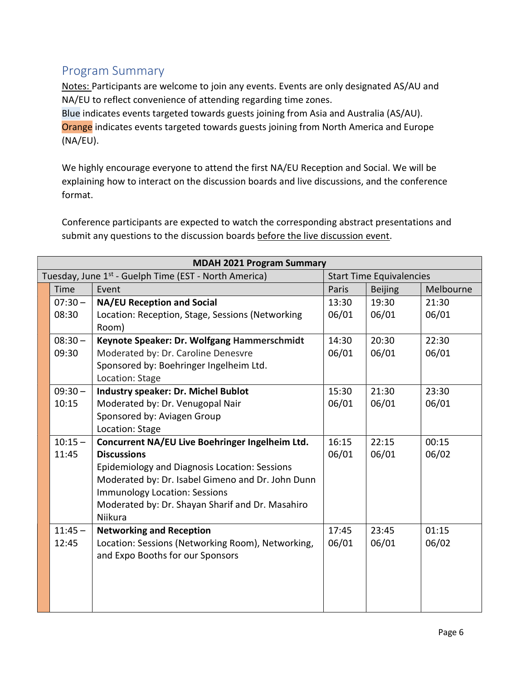## Program Summary

Notes: Participants are welcome to join any events. Events are only designated AS/AU and NA/EU to reflect convenience of attending regarding time zones.

Blue indicates events targeted towards guests joining from Asia and Australia (AS/AU). Orange indicates events targeted towards guests joining from North America and Europe (NA/EU).

We highly encourage everyone to attend the first NA/EU Reception and Social. We will be explaining how to interact on the discussion boards and live discussions, and the conference format.

Conference participants are expected to watch the corresponding abstract presentations and submit any questions to the discussion boards before the live discussion event.

| <b>MDAH 2021 Program Summary</b> |                                                                   |                                 |                |           |  |  |  |
|----------------------------------|-------------------------------------------------------------------|---------------------------------|----------------|-----------|--|--|--|
|                                  | Tuesday, June 1 <sup>st</sup> - Guelph Time (EST - North America) | <b>Start Time Equivalencies</b> |                |           |  |  |  |
| Time                             | Event                                                             | Paris                           | <b>Beijing</b> | Melbourne |  |  |  |
| $07:30 -$                        | <b>NA/EU Reception and Social</b>                                 | 13:30                           | 19:30          | 21:30     |  |  |  |
| 08:30                            | Location: Reception, Stage, Sessions (Networking                  | 06/01                           | 06/01          | 06/01     |  |  |  |
|                                  | Room)                                                             |                                 |                |           |  |  |  |
| $08:30 -$                        | Keynote Speaker: Dr. Wolfgang Hammerschmidt                       | 14:30                           | 20:30          | 22:30     |  |  |  |
| 09:30                            | Moderated by: Dr. Caroline Denesvre                               | 06/01                           | 06/01          | 06/01     |  |  |  |
|                                  | Sponsored by: Boehringer Ingelheim Ltd.                           |                                 |                |           |  |  |  |
|                                  | Location: Stage                                                   |                                 |                |           |  |  |  |
| $09:30-$                         | <b>Industry speaker: Dr. Michel Bublot</b>                        | 15:30                           | 21:30          | 23:30     |  |  |  |
| 10:15                            | Moderated by: Dr. Venugopal Nair                                  | 06/01                           | 06/01          | 06/01     |  |  |  |
|                                  | Sponsored by: Aviagen Group                                       |                                 |                |           |  |  |  |
|                                  | Location: Stage                                                   |                                 |                |           |  |  |  |
| $10:15 -$                        | Concurrent NA/EU Live Boehringer Ingelheim Ltd.                   | 16:15                           | 22:15          | 00:15     |  |  |  |
| 11:45                            | <b>Discussions</b>                                                | 06/01                           | 06/01          | 06/02     |  |  |  |
|                                  | Epidemiology and Diagnosis Location: Sessions                     |                                 |                |           |  |  |  |
|                                  | Moderated by: Dr. Isabel Gimeno and Dr. John Dunn                 |                                 |                |           |  |  |  |
|                                  | <b>Immunology Location: Sessions</b>                              |                                 |                |           |  |  |  |
|                                  | Moderated by: Dr. Shayan Sharif and Dr. Masahiro                  |                                 |                |           |  |  |  |
|                                  | Niikura                                                           |                                 |                |           |  |  |  |
| $11:45 -$                        | <b>Networking and Reception</b>                                   | 17:45                           | 23:45          | 01:15     |  |  |  |
| 12:45                            | Location: Sessions (Networking Room), Networking,                 | 06/01                           | 06/01          | 06/02     |  |  |  |
|                                  | and Expo Booths for our Sponsors                                  |                                 |                |           |  |  |  |
|                                  |                                                                   |                                 |                |           |  |  |  |
|                                  |                                                                   |                                 |                |           |  |  |  |
|                                  |                                                                   |                                 |                |           |  |  |  |
|                                  |                                                                   |                                 |                |           |  |  |  |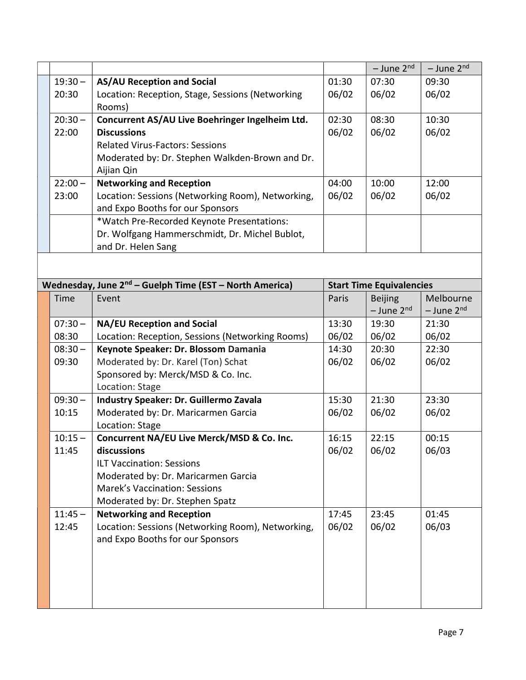|           |                                                                      |                | $-$ June 2 <sup>nd</sup>        | $-$ June 2 <sup>nd</sup> |
|-----------|----------------------------------------------------------------------|----------------|---------------------------------|--------------------------|
| $19:30 -$ | <b>AS/AU Reception and Social</b>                                    | 01:30          | 07:30                           | 09:30                    |
| 20:30     | Location: Reception, Stage, Sessions (Networking<br>Rooms)           | 06/02          | 06/02                           | 06/02                    |
| $20:30 -$ | Concurrent AS/AU Live Boehringer Ingelheim Ltd.                      | 02:30          | 08:30                           | 10:30                    |
| 22:00     | <b>Discussions</b>                                                   | 06/02          | 06/02                           | 06/02                    |
|           | <b>Related Virus-Factors: Sessions</b>                               |                |                                 |                          |
|           | Moderated by: Dr. Stephen Walkden-Brown and Dr.                      |                |                                 |                          |
|           | Aijian Qin                                                           |                |                                 |                          |
| $22:00 -$ | <b>Networking and Reception</b>                                      | 04:00          | 10:00                           | 12:00                    |
| 23:00     | Location: Sessions (Networking Room), Networking,                    | 06/02          | 06/02                           | 06/02                    |
|           | and Expo Booths for our Sponsors                                     |                |                                 |                          |
|           | *Watch Pre-Recorded Keynote Presentations:                           |                |                                 |                          |
|           | Dr. Wolfgang Hammerschmidt, Dr. Michel Bublot,<br>and Dr. Helen Sang |                |                                 |                          |
|           |                                                                      |                |                                 |                          |
|           | Wednesday, June 2 <sup>nd</sup> – Guelph Time (EST – North America)  |                | <b>Start Time Equivalencies</b> |                          |
| Time      | Event                                                                | Paris          | <b>Beijing</b>                  | Melbourne                |
|           |                                                                      |                | $-$ June 2 <sup>nd</sup>        | $-$ June 2 <sup>nd</sup> |
| $07:30 -$ | <b>NA/EU Reception and Social</b>                                    | 13:30          | 19:30                           | 21:30                    |
| 08:30     | Location: Reception, Sessions (Networking Rooms)                     | 06/02          | 06/02                           | 06/02                    |
| $08:30 -$ | Keynote Speaker: Dr. Blossom Damania                                 | 14:30          | 20:30                           | 22:30                    |
| 09:30     | Moderated by: Dr. Karel (Ton) Schat                                  | 06/02          | 06/02                           | 06/02                    |
|           | Sponsored by: Merck/MSD & Co. Inc.                                   |                |                                 |                          |
|           | Location: Stage                                                      |                |                                 |                          |
| $09:30 -$ | Industry Speaker: Dr. Guillermo Zavala                               | 15:30          | 21:30                           | 23:30                    |
| 10:15     | Moderated by: Dr. Maricarmen Garcia                                  | 06/02          | 06/02                           | 06/02                    |
|           | Location: Stage                                                      |                |                                 |                          |
| $10:15 -$ | Concurrent NA/EU Live Merck/MSD & Co. Inc.<br>discussions            | 16:15<br>06/02 | 22:15<br>06/02                  | 00:15                    |
| 11:45     | <b>ILT Vaccination: Sessions</b>                                     |                |                                 | 06/03                    |
|           | Moderated by: Dr. Maricarmen Garcia                                  |                |                                 |                          |
|           | <b>Marek's Vaccination: Sessions</b>                                 |                |                                 |                          |
|           | Moderated by: Dr. Stephen Spatz                                      |                |                                 |                          |
| $11:45 -$ | <b>Networking and Reception</b>                                      | 17:45          | 23:45                           | 01:45                    |
| 12:45     | Location: Sessions (Networking Room), Networking,                    | 06/02          | 06/02                           | 06/03                    |
|           | and Expo Booths for our Sponsors                                     |                |                                 |                          |
|           |                                                                      |                |                                 |                          |
|           |                                                                      |                |                                 |                          |
|           |                                                                      |                |                                 |                          |